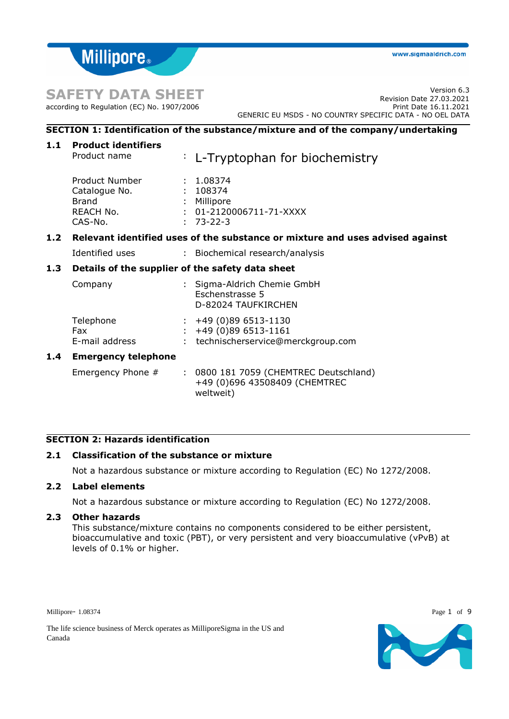# **SAFETY DATA SHEET**

according to Regulation (EC) No. 1907/2006

**Millipore** 

## **SECTION 1: Identification of the substance/mixture and of the company/undertaking**

| Product name                                                                         |                            | : L-Tryptophan for biochemistry                                                               |  |  |  |
|--------------------------------------------------------------------------------------|----------------------------|-----------------------------------------------------------------------------------------------|--|--|--|
| Product Number<br>Catalogue No.<br>Brand<br>REACH No.<br>CAS-No.                     |                            | : 1.08374<br>: 108374<br>Millipore<br>$: 01 - 2120006711 - 71 - XXXX$<br>$: 73 - 22 - 3$      |  |  |  |
| Relevant identified uses of the substance or mixture and uses advised against<br>1.2 |                            |                                                                                               |  |  |  |
| Identified uses                                                                      |                            | : Biochemical research/analysis                                                               |  |  |  |
| 1.3<br>Details of the supplier of the safety data sheet                              |                            |                                                                                               |  |  |  |
| Company                                                                              |                            | : Sigma-Aldrich Chemie GmbH<br>Eschenstrasse 5<br>D-82024 TAUFKIRCHEN                         |  |  |  |
| Telephone<br><b>Fax</b><br>E-mail address                                            |                            | $\div$ +49 (0)89 6513-1130<br>$\div$ +49 (0)89 6513-1161<br>technischerservice@merckgroup.com |  |  |  |
| <b>Emergency telephone</b>                                                           |                            |                                                                                               |  |  |  |
| Emergency Phone #                                                                    |                            | : 0800 181 7059 (CHEMTREC Deutschland)<br>+49 (0)696 43508409 (CHEMTREC<br>weltweit)          |  |  |  |
|                                                                                      | <b>Product identifiers</b> |                                                                                               |  |  |  |

## **SECTION 2: Hazards identification**

## **2.1 Classification of the substance or mixture**

Not a hazardous substance or mixture according to Regulation (EC) No 1272/2008.

## **2.2 Label elements**

Not a hazardous substance or mixture according to Regulation (EC) No 1272/2008.

## **2.3 Other hazards**

This substance/mixture contains no components considered to be either persistent, bioaccumulative and toxic (PBT), or very persistent and very bioaccumulative (vPvB) at levels of 0.1% or higher.

Millipore- 1.08374 Page 1 of 9



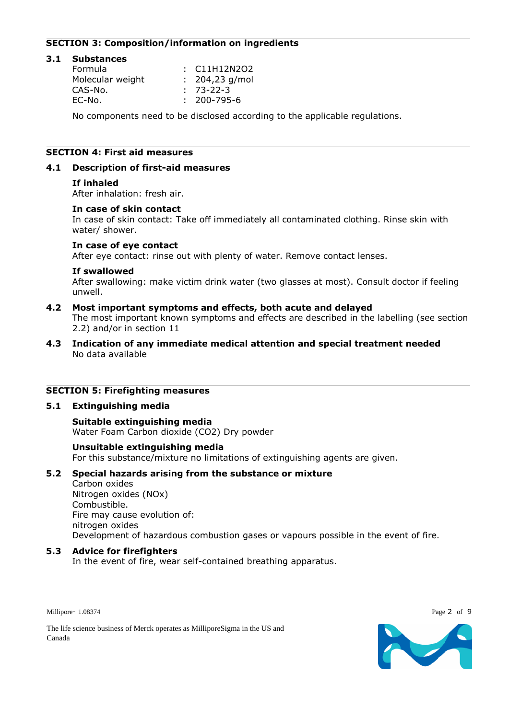## **SECTION 3: Composition/information on ingredients**

#### **3.1 Substances** Formula : C11H12N2O2 Molecular weight : 204,23 g/mol CAS-No. : 73-22-3 EC-No. : 200-795-6

No components need to be disclosed according to the applicable regulations.

## **SECTION 4: First aid measures**

#### **4.1 Description of first-aid measures**

#### **If inhaled**

After inhalation: fresh air.

#### **In case of skin contact**

In case of skin contact: Take off immediately all contaminated clothing. Rinse skin with water/ shower.

#### **In case of eye contact**

After eye contact: rinse out with plenty of water. Remove contact lenses.

#### **If swallowed**

After swallowing: make victim drink water (two glasses at most). Consult doctor if feeling unwell.

#### **4.2 Most important symptoms and effects, both acute and delayed**

The most important known symptoms and effects are described in the labelling (see section 2.2) and/or in section 11

#### **4.3 Indication of any immediate medical attention and special treatment needed** No data available

#### **SECTION 5: Firefighting measures**

#### **5.1 Extinguishing media**

#### **Suitable extinguishing media**

Water Foam Carbon dioxide (CO2) Dry powder

#### **Unsuitable extinguishing media**

For this substance/mixture no limitations of extinguishing agents are given.

## **5.2 Special hazards arising from the substance or mixture**

Carbon oxides

Nitrogen oxides (NOx) Combustible. Fire may cause evolution of: nitrogen oxides Development of hazardous combustion gases or vapours possible in the event of fire.

#### **5.3 Advice for firefighters**

In the event of fire, wear self-contained breathing apparatus.

Millipore- 1.08374 Page 2 of 9



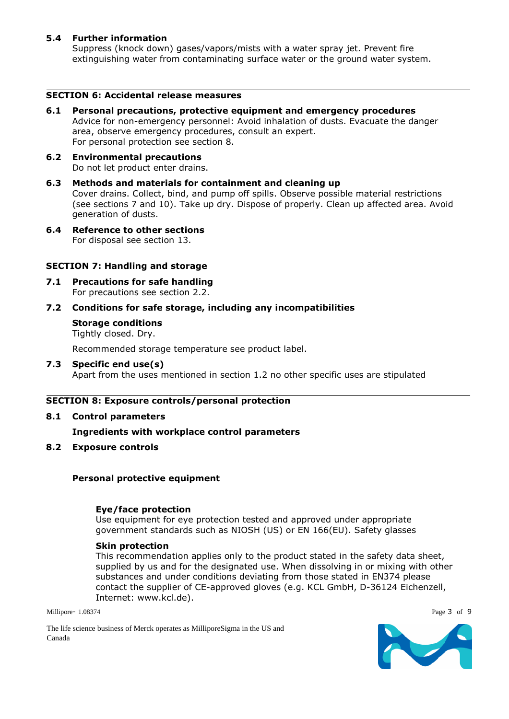## **5.4 Further information**

Suppress (knock down) gases/vapors/mists with a water spray jet. Prevent fire extinguishing water from contaminating surface water or the ground water system.

## **SECTION 6: Accidental release measures**

- **6.1 Personal precautions, protective equipment and emergency procedures** Advice for non-emergency personnel: Avoid inhalation of dusts. Evacuate the danger area, observe emergency procedures, consult an expert. For personal protection see section 8.
- **6.2 Environmental precautions** Do not let product enter drains.
- **6.3 Methods and materials for containment and cleaning up** Cover drains. Collect, bind, and pump off spills. Observe possible material restrictions (see sections 7 and 10). Take up dry. Dispose of properly. Clean up affected area. Avoid generation of dusts.
- **6.4 Reference to other sections** For disposal see section 13.

## **SECTION 7: Handling and storage**

**7.1 Precautions for safe handling** For precautions see section 2.2.

## **7.2 Conditions for safe storage, including any incompatibilities**

## **Storage conditions**

Tightly closed. Dry.

Recommended storage temperature see product label.

## **7.3 Specific end use(s)**

Apart from the uses mentioned in section 1.2 no other specific uses are stipulated

## **SECTION 8: Exposure controls/personal protection**

**8.1 Control parameters**

**Ingredients with workplace control parameters**

**8.2 Exposure controls**

## **Personal protective equipment**

## **Eye/face protection**

Use equipment for eye protection tested and approved under appropriate government standards such as NIOSH (US) or EN 166(EU). Safety glasses

## **Skin protection**

This recommendation applies only to the product stated in the safety data sheet, supplied by us and for the designated use. When dissolving in or mixing with other substances and under conditions deviating from those stated in EN374 please contact the supplier of CE-approved gloves (e.g. KCL GmbH, D-36124 Eichenzell, Internet: www.kcl.de).

Millipore- 1.08374 Page 3 of 9

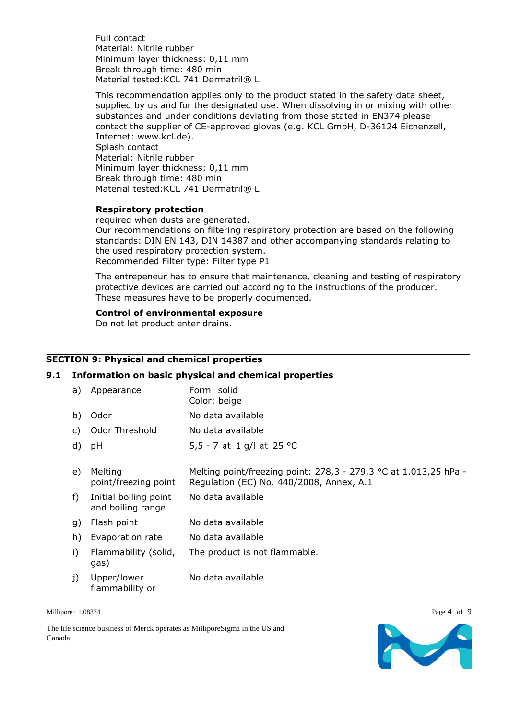Full contact Material: Nitrile rubber Minimum layer thickness: 0,11 mm Break through time: 480 min Material tested:KCL 741 Dermatril® L

This recommendation applies only to the product stated in the safety data sheet, supplied by us and for the designated use. When dissolving in or mixing with other substances and under conditions deviating from those stated in EN374 please contact the supplier of CE-approved gloves (e.g. KCL GmbH, D-36124 Eichenzell, Internet: www.kcl.de). Splash contact Material: Nitrile rubber Minimum layer thickness: 0,11 mm Break through time: 480 min Material tested: KCL 741 Dermatril® L

## **Respiratory protection**

required when dusts are generated. Our recommendations on filtering respiratory protection are based on the following standards: DIN EN 143, DIN 14387 and other accompanying standards relating to the used respiratory protection system. Recommended Filter type: Filter type P1

The entrepeneur has to ensure that maintenance, cleaning and testing of respiratory protective devices are carried out according to the instructions of the producer. These measures have to be properly documented.

## **Control of environmental exposure**

Do not let product enter drains.

## **SECTION 9: Physical and chemical properties**

#### **9.1 Information on basic physical and chemical properties**

| a)    | Appearance                                 | Form: solid<br>Color: beige                                                                                  |
|-------|--------------------------------------------|--------------------------------------------------------------------------------------------------------------|
| b)    | Odor                                       | No data available                                                                                            |
| C)    | Odor Threshold                             | No data available                                                                                            |
| d)    | pH                                         | 5,5 - 7 at 1 g/l at 25 °C                                                                                    |
| e)    | Melting<br>point/freezing point            | Melting point/freezing point: 278,3 - 279,3 °C at 1.013,25 hPa -<br>Regulation (EC) No. 440/2008, Annex, A.1 |
| $f$ ) | Initial boiling point<br>and boiling range | No data available                                                                                            |
| g)    | Flash point                                | No data available                                                                                            |
| h)    | Evaporation rate                           | No data available                                                                                            |
| i)    | Flammability (solid,<br>gas)               | The product is not flammable.                                                                                |
| j)    | Upper/lower                                | No data available                                                                                            |

Millipore- 1.08374 Page 4 of 9

The life science business of Merck operates as MilliporeSigma in the US and Canada

flammability or

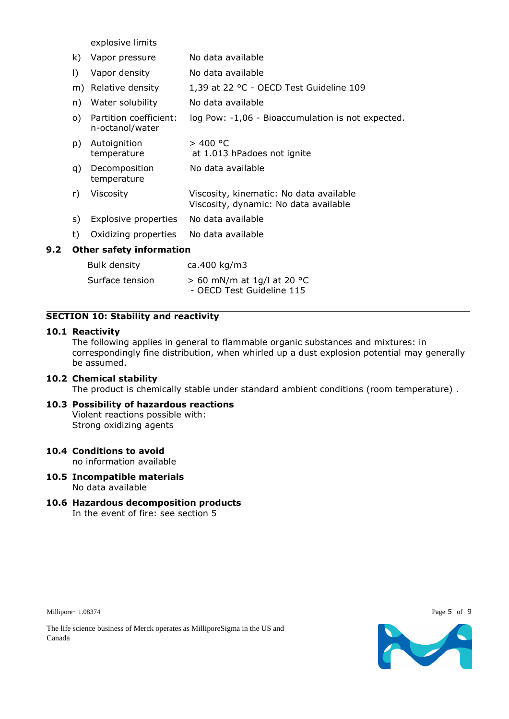explosive limits

|     | k) | Vapor pressure                            | No data available                                                                |
|-----|----|-------------------------------------------|----------------------------------------------------------------------------------|
|     | I) | Vapor density                             | No data available                                                                |
|     |    | m) Relative density                       | 1,39 at 22 °C - OECD Test Guideline 109                                          |
|     | n) | Water solubility                          | No data available                                                                |
|     | o) | Partition coefficient:<br>n-octanol/water | log Pow: -1,06 - Bioaccumulation is not expected.                                |
|     | p) | Autoignition<br>temperature               | > 400 °C<br>at 1.013 hPadoes not ignite                                          |
|     | q) | Decomposition<br>temperature              | No data available                                                                |
|     | r) | Viscosity                                 | Viscosity, kinematic: No data available<br>Viscosity, dynamic: No data available |
|     | s) | Explosive properties                      | No data available                                                                |
|     | t) | Oxidizing properties                      | No data available                                                                |
| 9.2 |    | <b>Other safety information</b>           |                                                                                  |
|     |    | <b>Bulk density</b>                       | ca.400 kg/m3                                                                     |
|     |    | Surface tension                           | $> 60$ mN/m at 1g/l at 20 °C<br>- OECD Test Guideline 115                        |

## **SECTION 10: Stability and reactivity**

## **10.1 Reactivity**

The following applies in general to flammable organic substances and mixtures: in correspondingly fine distribution, when whirled up a dust explosion potential may generally be assumed.

## **10.2 Chemical stability**

The product is chemically stable under standard ambient conditions (room temperature) .

**10.3 Possibility of hazardous reactions** Violent reactions possible with: Strong oxidizing agents

## **10.4 Conditions to avoid**

no information available

- **10.5 Incompatible materials** No data available
- **10.6 Hazardous decomposition products** In the event of fire: see section 5

Millipore- 1.08374 Page 5 of 9



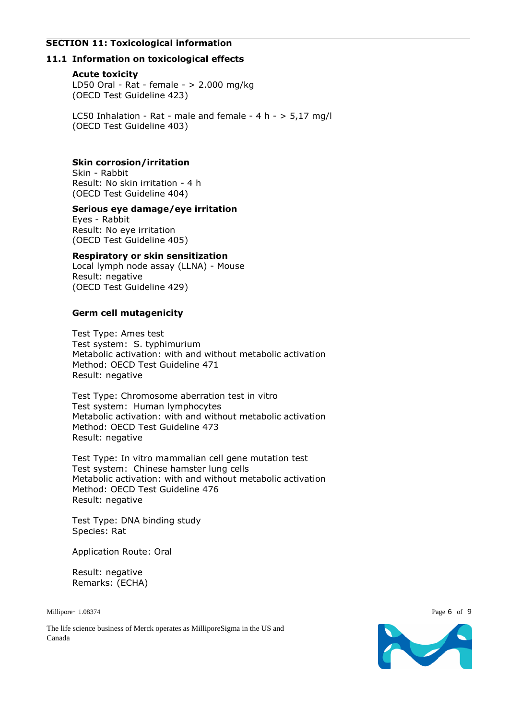## **SECTION 11: Toxicological information**

## **11.1 Information on toxicological effects**

#### **Acute toxicity**

LD50 Oral - Rat - female - > 2.000 mg/kg (OECD Test Guideline 423)

LC50 Inhalation - Rat - male and female -  $4 h - 5,17 mg/l$ (OECD Test Guideline 403)

## **Skin corrosion/irritation**

Skin - Rabbit Result: No skin irritation - 4 h (OECD Test Guideline 404)

## **Serious eye damage/eye irritation**

Eyes - Rabbit Result: No eye irritation (OECD Test Guideline 405)

## **Respiratory or skin sensitization**

Local lymph node assay (LLNA) - Mouse Result: negative (OECD Test Guideline 429)

## **Germ cell mutagenicity**

Test Type: Ames test Test system: S. typhimurium Metabolic activation: with and without metabolic activation Method: OECD Test Guideline 471 Result: negative

Test Type: Chromosome aberration test in vitro Test system: Human lymphocytes Metabolic activation: with and without metabolic activation Method: OECD Test Guideline 473 Result: negative

Test Type: In vitro mammalian cell gene mutation test Test system: Chinese hamster lung cells Metabolic activation: with and without metabolic activation Method: OECD Test Guideline 476 Result: negative

Test Type: DNA binding study Species: Rat

Application Route: Oral

Result: negative Remarks: (ECHA)

Millipore- 1.08374 Page 6 of 9

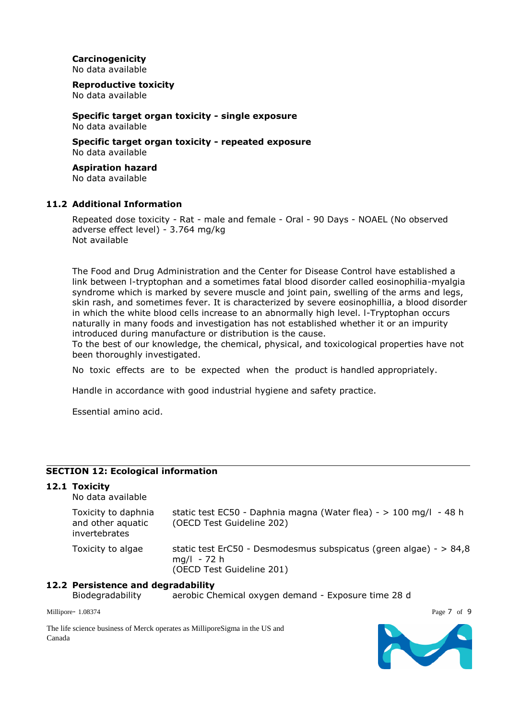**Carcinogenicity** No data available

**Reproductive toxicity**

No data available

**Specific target organ toxicity - single exposure** No data available

**Specific target organ toxicity - repeated exposure** No data available

# **Aspiration hazard**

No data available

## **11.2 Additional Information**

Repeated dose toxicity - Rat - male and female - Oral - 90 Days - NOAEL (No observed adverse effect level) - 3.764 mg/kg Not available

The Food and Drug Administration and the Center for Disease Control have established a link between l-tryptophan and a sometimes fatal blood disorder called eosinophilia-myalgia syndrome which is marked by severe muscle and joint pain, swelling of the arms and legs, skin rash, and sometimes fever. It is characterized by severe eosinophillia, a blood disorder in which the white blood cells increase to an abnormally high level. l-Tryptophan occurs naturally in many foods and investigation has not established whether it or an impurity introduced during manufacture or distribution is the cause.

To the best of our knowledge, the chemical, physical, and toxicological properties have not been thoroughly investigated.

No toxic effects are to be expected when the product is handled appropriately.

Handle in accordance with good industrial hygiene and safety practice.

Essential amino acid.

## **SECTION 12: Ecological information**

## **12.1 Toxicity**

No data available

| Toxicity to daphnia<br>and other aquatic<br>invertebrates | static test EC50 - Daphnia magna (Water flea) - $> 100$ mg/l - 48 h<br>(OECD Test Guideline 202)                   |
|-----------------------------------------------------------|--------------------------------------------------------------------------------------------------------------------|
| Toxicity to algae                                         | static test ErC50 - Desmodesmus subspicatus (green algae) - $> 84.8$<br>$mq/l - 72 h$<br>(OECD Test Guideline 201) |

## **12.2 Persistence and degradability**

Biodegradability aerobic Chemical oxygen demand - Exposure time 28 d

Millipore- 1.08374 Page 7 of 9

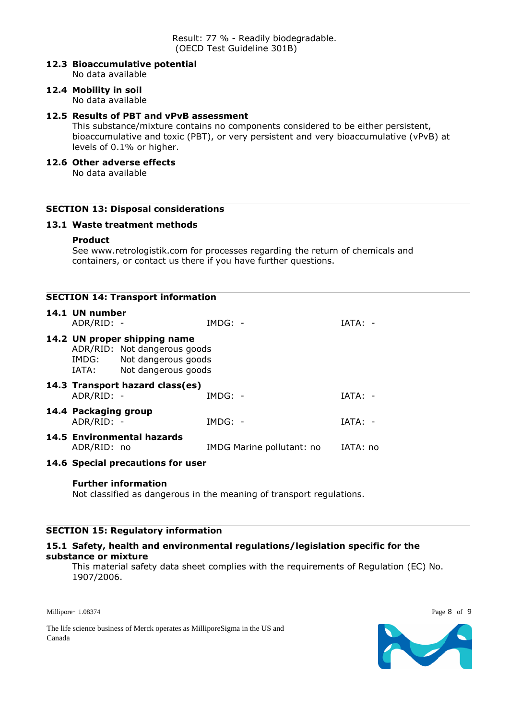## **12.3 Bioaccumulative potential**

No data available

#### **12.4 Mobility in soil** No data available

## **12.5 Results of PBT and vPvB assessment**

This substance/mixture contains no components considered to be either persistent, bioaccumulative and toxic (PBT), or very persistent and very bioaccumulative (vPvB) at levels of 0.1% or higher.

## **12.6 Other adverse effects**

No data available

## **SECTION 13: Disposal considerations**

## **13.1 Waste treatment methods**

## **Product**

See www.retrologistik.com for processes regarding the return of chemicals and containers, or contact us there if you have further questions.

| <b>SECTION 14: Transport information</b> |                                                                                                                           |                                   |           |                           |           |  |
|------------------------------------------|---------------------------------------------------------------------------------------------------------------------------|-----------------------------------|-----------|---------------------------|-----------|--|
|                                          | 14.1 UN number<br>ADR/RID: -                                                                                              |                                   | $IMDG: -$ |                           | $IATA: -$ |  |
|                                          | 14.2 UN proper shipping name<br>ADR/RID: Not dangerous goods<br>IMDG: Not dangerous goods<br>Not dangerous goods<br>IATA: |                                   |           |                           |           |  |
|                                          | ADR/RID: -                                                                                                                | 14.3 Transport hazard class(es)   | $IMDG: -$ |                           | $IATA: -$ |  |
|                                          | 14.4 Packaging group<br>ADR/RID: -                                                                                        |                                   | $IMDG: -$ |                           | $IATA: -$ |  |
|                                          | ADR/RID: no                                                                                                               | 14.5 Environmental hazards        |           | IMDG Marine pollutant: no | IATA: no  |  |
|                                          |                                                                                                                           | 14.6 Special precautions for user |           |                           |           |  |

## **Further information**

Not classified as dangerous in the meaning of transport regulations.

## **SECTION 15: Regulatory information**

#### **15.1 Safety, health and environmental regulations/legislation specific for the substance or mixture**

This material safety data sheet complies with the requirements of Regulation (EC) No. 1907/2006.

Millipore- 1.08374 Page 8 of 9